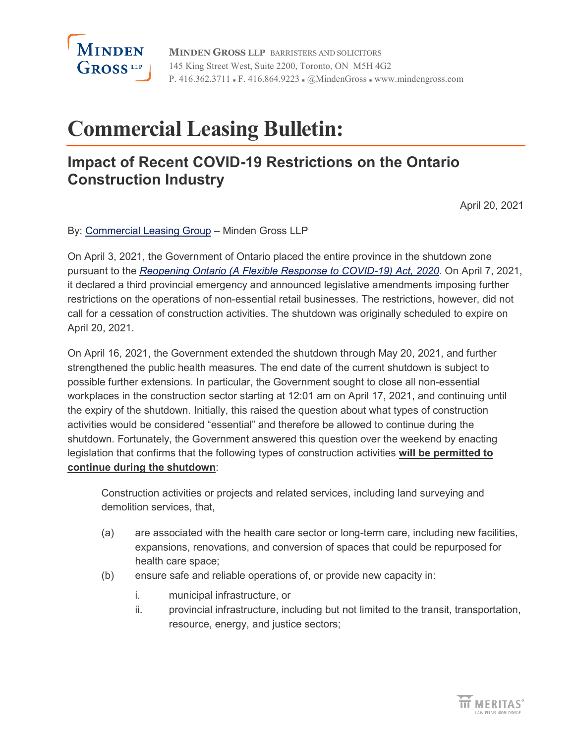

**MINDEN GROSS LLP** BARRISTERS AND SOLICITORS 145 King Street West, Suite 2200, Toronto, ON M5H 4G2 P. 416.362.3711 · F. 416.864.9223 · @MindenGross · www.mindengross.com

# **Commercial Leasing Bulletin:**

### **Impact of Recent COVID-19 Restrictions on the Ontario Construction Industry**

April 20, 2021

By: [Commercial Leasing Group](https://www.mindengross.com/client-services/details/commercial-leasing) – Minden Gross LLP

On April 3, 2021, the Government of Ontario placed the entire province in the shutdown zone pursuant to the *[Reopening Ontario \(A Flexible Response to COVID-19\) Act, 2020.](https://www.ontario.ca/laws/statute/20r17)* On April 7, 2021, it declared a third provincial emergency and announced legislative amendments imposing further restrictions on the operations of non-essential retail businesses. The restrictions, however, did not call for a cessation of construction activities. The shutdown was originally scheduled to expire on April 20, 2021.

On April 16, 2021, the Government extended the shutdown through May 20, 2021, and further strengthened the public health measures. The end date of the current shutdown is subject to possible further extensions. In particular, the Government sought to close all non-essential workplaces in the construction sector starting at 12:01 am on April 17, 2021, and continuing until the expiry of the shutdown. Initially, this raised the question about what types of construction activities would be considered "essential" and therefore be allowed to continue during the shutdown. Fortunately, the Government answered this question over the weekend by enacting legislation that confirms that the following types of construction activities **will be permitted to continue during the shutdown**:

Construction activities or projects and related services, including land surveying and demolition services, that,

- (a) are associated with the health care sector or long-term care, including new facilities, expansions, renovations, and conversion of spaces that could be repurposed for health care space;
- (b) ensure safe and reliable operations of, or provide new capacity in:
	- i. municipal infrastructure, or
	- ii. provincial infrastructure, including but not limited to the transit, transportation, resource, energy, and justice sectors;

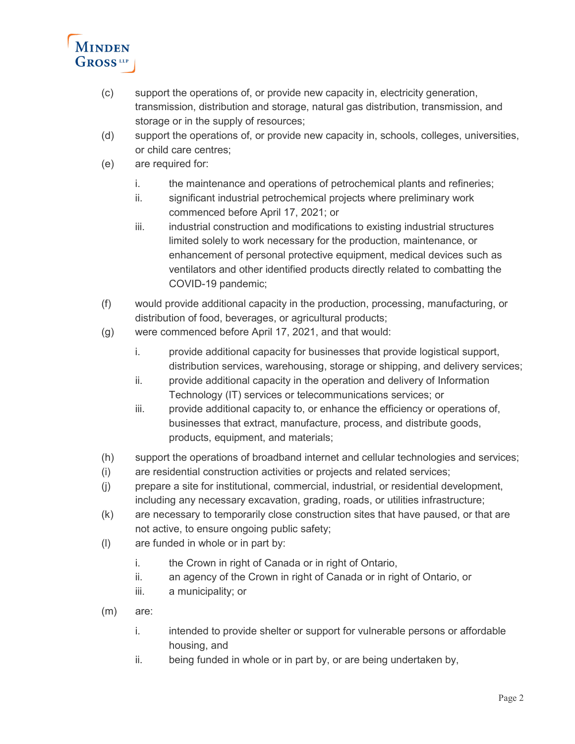

- (c) support the operations of, or provide new capacity in, electricity generation, transmission, distribution and storage, natural gas distribution, transmission, and storage or in the supply of resources;
- (d) support the operations of, or provide new capacity in, schools, colleges, universities, or child care centres;
- (e) are required for:
	- i. the maintenance and operations of petrochemical plants and refineries;
	- ii. significant industrial petrochemical projects where preliminary work commenced before April 17, 2021; or
	- iii. industrial construction and modifications to existing industrial structures limited solely to work necessary for the production, maintenance, or enhancement of personal protective equipment, medical devices such as ventilators and other identified products directly related to combatting the COVID-19 pandemic;
- (f) would provide additional capacity in the production, processing, manufacturing, or distribution of food, beverages, or agricultural products;
- (g) were commenced before April 17, 2021, and that would:
	- i. provide additional capacity for businesses that provide logistical support, distribution services, warehousing, storage or shipping, and delivery services;
	- ii. provide additional capacity in the operation and delivery of Information Technology (IT) services or telecommunications services; or
	- iii. provide additional capacity to, or enhance the efficiency or operations of, businesses that extract, manufacture, process, and distribute goods, products, equipment, and materials;
- (h) support the operations of broadband internet and cellular technologies and services;
- (i) are residential construction activities or projects and related services;
- (j) prepare a site for institutional, commercial, industrial, or residential development, including any necessary excavation, grading, roads, or utilities infrastructure;
- (k) are necessary to temporarily close construction sites that have paused, or that are not active, to ensure ongoing public safety;
- (l) are funded in whole or in part by:
	- i. the Crown in right of Canada or in right of Ontario,
	- ii. an agency of the Crown in right of Canada or in right of Ontario, or
	- iii. a municipality; or
- (m) are:
	- i. intended to provide shelter or support for vulnerable persons or affordable housing, and
	- ii. being funded in whole or in part by, or are being undertaken by,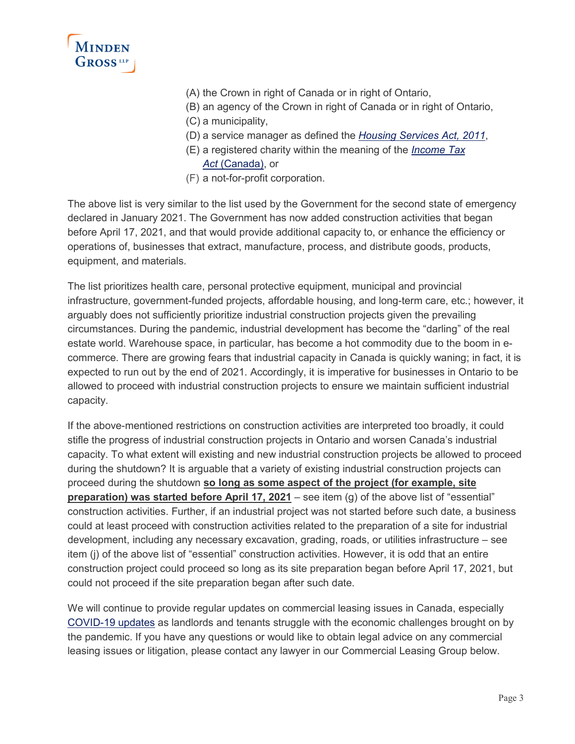

- (A) the Crown in right of Canada or in right of Ontario,
- (B) an agency of the Crown in right of Canada or in right of Ontario,
- (C) a municipality,
- (D) a service manager as defined the *[Housing Services Act, 2011](https://www.ontario.ca/laws/statute/11h06)*,
- (E) a registered charity within the meaning of the *[Income Tax](https://laws-lois.justice.gc.ca/eng/acts/I-3.3/page-182.html?txthl=registered+charitable+charities+register+charity#s-149.1)  Act* [\(Canada\),](https://laws-lois.justice.gc.ca/eng/acts/I-3.3/page-182.html?txthl=registered+charitable+charities+register+charity#s-149.1) or
- (F) a not-for-profit corporation.

The above list is very similar to the list used by the Government for the second state of emergency declared in January 2021. The Government has now added construction activities that began before April 17, 2021, and that would provide additional capacity to, or enhance the efficiency or operations of, businesses that extract, manufacture, process, and distribute goods, products, equipment, and materials.

The list prioritizes health care, personal protective equipment, municipal and provincial infrastructure, government-funded projects, affordable housing, and long-term care, etc.; however, it arguably does not sufficiently prioritize industrial construction projects given the prevailing circumstances. During the pandemic, industrial development has become the "darling" of the real estate world. Warehouse space, in particular, has become a hot commodity due to the boom in ecommerce. There are growing fears that industrial capacity in Canada is quickly waning; in fact, it is expected to run out by the end of 2021. Accordingly, it is imperative for businesses in Ontario to be allowed to proceed with industrial construction projects to ensure we maintain sufficient industrial capacity.

If the above-mentioned restrictions on construction activities are interpreted too broadly, it could stifle the progress of industrial construction projects in Ontario and worsen Canada's industrial capacity. To what extent will existing and new industrial construction projects be allowed to proceed during the shutdown? It is arguable that a variety of existing industrial construction projects can proceed during the shutdown **so long as some aspect of the project (for example, site preparation) was started before April 17, 2021** – see item (g) of the above list of "essential" construction activities. Further, if an industrial project was not started before such date, a business could at least proceed with construction activities related to the preparation of a site for industrial development, including any necessary excavation, grading, roads, or utilities infrastructure – see item (j) of the above list of "essential" construction activities. However, it is odd that an entire construction project could proceed so long as its site preparation began before April 17, 2021, but could not proceed if the site preparation began after such date.

We will continue to provide regular updates on commercial leasing issues in Canada, especially [COVID-19 updates](https://www.mindengross.com/our-firm/covid-19-response#Leasing) as landlords and tenants struggle with the economic challenges brought on by the pandemic. If you have any questions or would like to obtain legal advice on any commercial leasing issues or litigation, please contact any lawyer in our Commercial Leasing Group below.